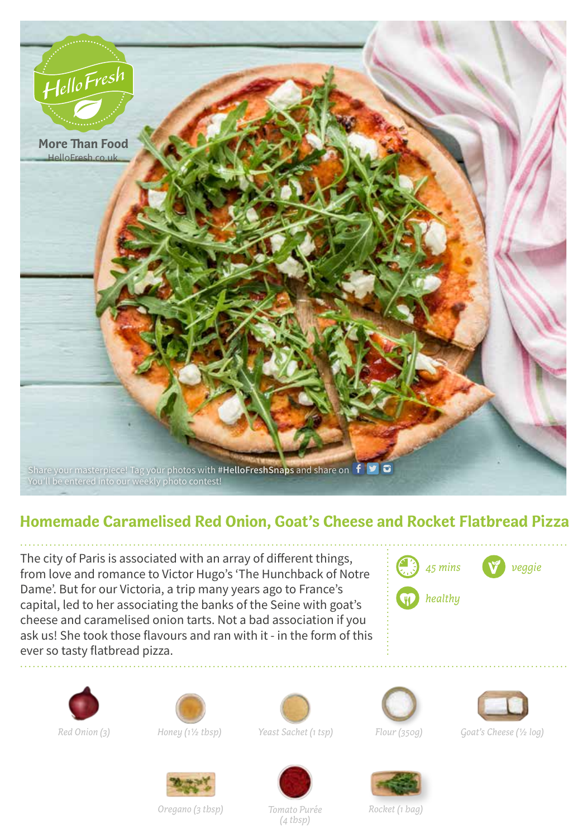

## **Homemade Caramelised Red Onion, Goat's Cheese and Rocket Flatbread Pizza**

The city of Paris is associated with an array of different things, from love and romance to Victor Hugo's 'The Hunchback of Notre Dame'. But for our Victoria, a trip many years ago to France's capital, led to her associating the banks of the Seine with goat's cheese and caramelised onion tarts. Not a bad association if you ask us! She took those flavours and ran with it - in the form of this ever so tasty flatbread pizza.









*Red Onion (3) Honey (11/2 tbsp) Yeast Sachet (1 tsp)*





*Flour (350g) Goat's Cheese (1/2 log)*